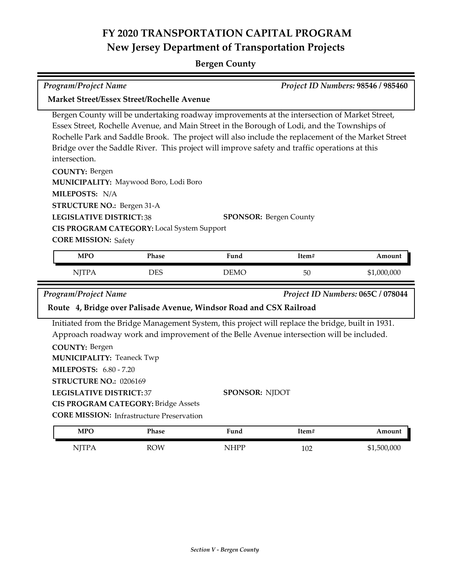# **FY 2020 TRANSPORTATION CAPITAL PROGRAM New Jersey Department of Transportation Projects**

### **Bergen County**

*Program/Project Name Project ID Numbers:* **98546 / 985460**

| <b>Market Street/Essex Street/Rochelle Avenue</b>                   |                                                                                                |                                                                                                                                                                                                                                                                                                                                                                                                    |       |                                   |
|---------------------------------------------------------------------|------------------------------------------------------------------------------------------------|----------------------------------------------------------------------------------------------------------------------------------------------------------------------------------------------------------------------------------------------------------------------------------------------------------------------------------------------------------------------------------------------------|-------|-----------------------------------|
| intersection.                                                       |                                                                                                | Bergen County will be undertaking roadway improvements at the intersection of Market Street,<br>Essex Street, Rochelle Avenue, and Main Street in the Borough of Lodi, and the Townships of<br>Rochelle Park and Saddle Brook. The project will also include the replacement of the Market Street<br>Bridge over the Saddle River. This project will improve safety and traffic operations at this |       |                                   |
| <b>COUNTY: Bergen</b>                                               |                                                                                                |                                                                                                                                                                                                                                                                                                                                                                                                    |       |                                   |
|                                                                     | MUNICIPALITY: Maywood Boro, Lodi Boro                                                          |                                                                                                                                                                                                                                                                                                                                                                                                    |       |                                   |
| MILEPOSTS: N/A                                                      |                                                                                                |                                                                                                                                                                                                                                                                                                                                                                                                    |       |                                   |
| <b>STRUCTURE NO.: Bergen 31-A</b><br><b>LEGISLATIVE DISTRICT:38</b> |                                                                                                |                                                                                                                                                                                                                                                                                                                                                                                                    |       |                                   |
|                                                                     | <b>CIS PROGRAM CATEGORY:</b> Local System Support                                              | <b>SPONSOR: Bergen County</b>                                                                                                                                                                                                                                                                                                                                                                      |       |                                   |
| <b>CORE MISSION: Safety</b>                                         |                                                                                                |                                                                                                                                                                                                                                                                                                                                                                                                    |       |                                   |
|                                                                     |                                                                                                |                                                                                                                                                                                                                                                                                                                                                                                                    |       |                                   |
|                                                                     |                                                                                                |                                                                                                                                                                                                                                                                                                                                                                                                    |       |                                   |
| <b>MPO</b>                                                          | <b>Phase</b>                                                                                   | Fund                                                                                                                                                                                                                                                                                                                                                                                               | Item# | Amount                            |
| <b>NJTPA</b>                                                        | <b>DES</b>                                                                                     | <b>DEMO</b>                                                                                                                                                                                                                                                                                                                                                                                        | 50    | \$1,000,000                       |
| <b>Program/Project Name</b>                                         |                                                                                                |                                                                                                                                                                                                                                                                                                                                                                                                    |       | Project ID Numbers: 065C / 078044 |
|                                                                     |                                                                                                | Route 4, Bridge over Palisade Avenue, Windsor Road and CSX Railroad                                                                                                                                                                                                                                                                                                                                |       |                                   |
|                                                                     |                                                                                                | Initiated from the Bridge Management System, this project will replace the bridge, built in 1931.                                                                                                                                                                                                                                                                                                  |       |                                   |
|                                                                     |                                                                                                | Approach roadway work and improvement of the Belle Avenue intersection will be included.                                                                                                                                                                                                                                                                                                           |       |                                   |
| <b>COUNTY: Bergen</b>                                               |                                                                                                |                                                                                                                                                                                                                                                                                                                                                                                                    |       |                                   |
| <b>MUNICIPALITY: Teaneck Twp</b>                                    |                                                                                                |                                                                                                                                                                                                                                                                                                                                                                                                    |       |                                   |
| <b>MILEPOSTS: 6.80 - 7.20</b>                                       |                                                                                                |                                                                                                                                                                                                                                                                                                                                                                                                    |       |                                   |
| STRUCTURE NO.: 0206169                                              |                                                                                                |                                                                                                                                                                                                                                                                                                                                                                                                    |       |                                   |
| <b>LEGISLATIVE DISTRICT: 37</b>                                     |                                                                                                | <b>SPONSOR: NJDOT</b>                                                                                                                                                                                                                                                                                                                                                                              |       |                                   |
|                                                                     | <b>CIS PROGRAM CATEGORY: Bridge Assets</b><br><b>CORE MISSION:</b> Infrastructure Preservation |                                                                                                                                                                                                                                                                                                                                                                                                    |       |                                   |

| MPO  | Phase      | T.<br>Fund | Item# | Amount      |
|------|------------|------------|-------|-------------|
| NITP | <b>ROW</b> | HPP        | 102   | \$1,500,000 |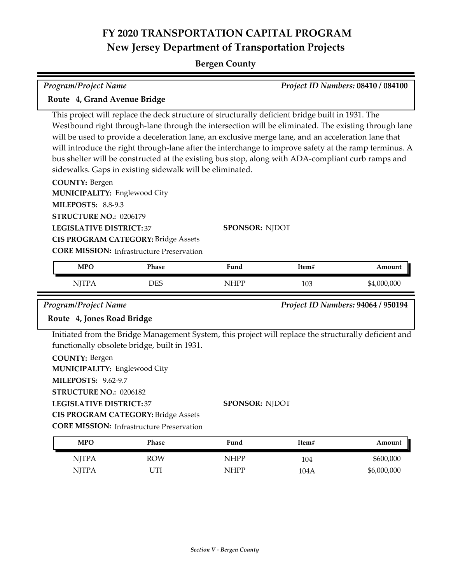## **FY 2020 TRANSPORTATION CAPITAL PROGRAM New Jersey Department of Transportation Projects**

#### **Bergen County**

| <b>Program/Project Name</b>                              |                                                                                                       |                                                                                                  |       | Project ID Numbers: 08410 / 084100 |
|----------------------------------------------------------|-------------------------------------------------------------------------------------------------------|--------------------------------------------------------------------------------------------------|-------|------------------------------------|
| Route 4, Grand Avenue Bridge                             |                                                                                                       |                                                                                                  |       |                                    |
|                                                          |                                                                                                       | This project will replace the deck structure of structurally deficient bridge built in 1931. The |       |                                    |
|                                                          | Westbound right through-lane through the intersection will be eliminated. The existing through lane   |                                                                                                  |       |                                    |
|                                                          | will be used to provide a deceleration lane, an exclusive merge lane, and an acceleration lane that   |                                                                                                  |       |                                    |
|                                                          | will introduce the right through-lane after the interchange to improve safety at the ramp terminus. A |                                                                                                  |       |                                    |
|                                                          | bus shelter will be constructed at the existing bus stop, along with ADA-compliant curb ramps and     |                                                                                                  |       |                                    |
|                                                          | sidewalks. Gaps in existing sidewalk will be eliminated.                                              |                                                                                                  |       |                                    |
| <b>COUNTY: Bergen</b>                                    |                                                                                                       |                                                                                                  |       |                                    |
| MUNICIPALITY: Englewood City                             |                                                                                                       |                                                                                                  |       |                                    |
| MILEPOSTS: 8.8-9.3                                       |                                                                                                       |                                                                                                  |       |                                    |
| <b>STRUCTURE NO.: 0206179</b>                            |                                                                                                       |                                                                                                  |       |                                    |
| <b>LEGISLATIVE DISTRICT: 37</b><br><b>SPONSOR: NJDOT</b> |                                                                                                       |                                                                                                  |       |                                    |
| <b>CIS PROGRAM CATEGORY: Bridge Assets</b>               |                                                                                                       |                                                                                                  |       |                                    |
| <b>CORE MISSION:</b> Infrastructure Preservation         |                                                                                                       |                                                                                                  |       |                                    |
| <b>MPO</b>                                               | Phase                                                                                                 | Fund                                                                                             | Item# | Amount                             |
| <b>NJTPA</b>                                             | <b>DES</b>                                                                                            | <b>NHPP</b>                                                                                      | 103   | \$4,000,000                        |

#### *Program/Project Name Project ID Numbers:* **94064 / 950194**

Ξ

#### **Route 4, Jones Road Bridge**

Initiated from the Bridge Management System, this project will replace the structurally deficient and functionally obsolete bridge, built in 1931.

| <b>COUNTY: Bergen</b> |  |
|-----------------------|--|
|-----------------------|--|

**MUNICIPALITY: Englewood City** 

**MILEPOSTS:** 9.62-9.7

**STRUCTURE NO.:** 0206182

**LEGISLATIVE DISTRICT:** 37

**CIS PROGRAM CATEGORY:** Bridge Assets

**CORE MISSION:** Infrastructure Preservation

| MPO          | Phase      | Fund | Item# | Amount      |
|--------------|------------|------|-------|-------------|
| <b>NJTPA</b> | <b>ROW</b> | NHPP | 104   | \$600,000   |
| <b>NJTPA</b> | 'Tı        | NHPP | 104A  | \$6,000,000 |

**SPONSOR:** NJDOT